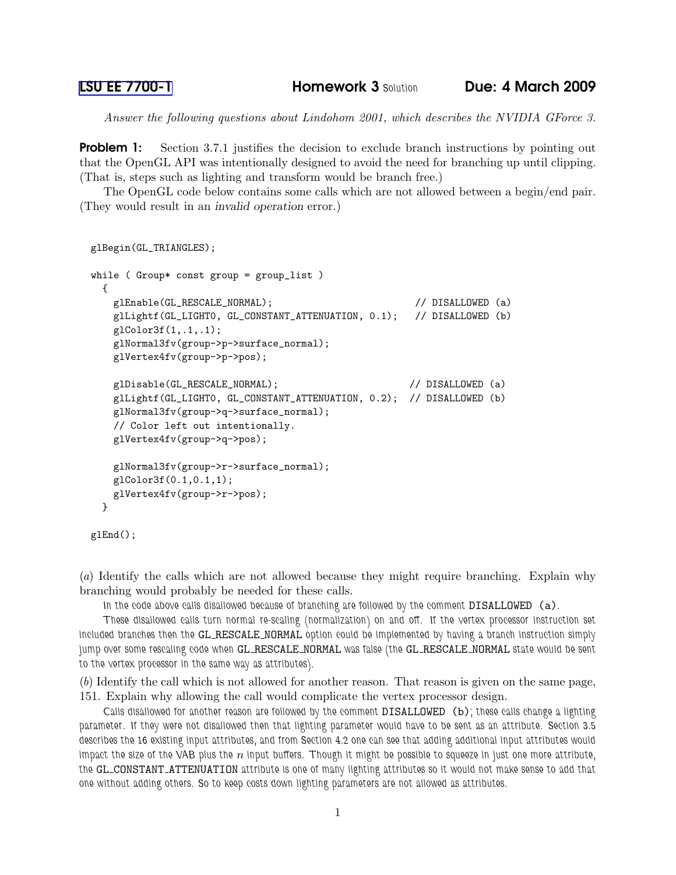Answer the following questions about Lindohom 2001, which describes the NVIDIA GForce 3.

**Problem 1:** Section 3.7.1 justifies the decision to exclude branch instructions by pointing out that the OpenGL API was intentionally designed to avoid the need for branching up until clipping. (That is, steps such as lighting and transform would be branch free.)

The OpenGL code below contains some calls which are not allowed between a begin/end pair. (They would result in an invalid operation error.)

```
glBegin(GL_TRIANGLES);
while ( Group* const group = group_list )
 {
   glEnable(GL_RESCALE_NORMAL); // DISALLOWED (a)
   glLightf(GL_LIGHT0, GL_CONSTANT_ATTENUATION, 0.1); // DISALLOWED (b)
   glColor3f(1,.1,.1);
   glNormal3fv(group->p->surface_normal);
   glVertex4fv(group->p->pos);
   glDisable(GL_RESCALE_NORMAL); // DISALLOWED (a)
   glLightf(GL_LIGHT0, GL_CONSTANT_ATTENUATION, 0.2); // DISALLOWED (b)
   glNormal3fv(group->q->surface_normal);
   // Color left out intentionally.
   glVertex4fv(group->q->pos);
   glNormal3fv(group->r->surface_normal);
   glColor3f(0.1,0.1,1);
   glVertex4fv(group->r->pos);
 }
```
glEnd();

(a) Identify the calls which are not allowed because they might require branching. Explain why branching would probably be needed for these calls.

In the code above calls disallowed because of branching are followed by the comment DISALLOWED (a).

These disallowed calls turn normal re-scaling (normalization) on and off. If the vertex processor instruction set included branches then the GL RESCALE NORMAL option could be implemented by having a branch instruction simply jump over some rescaling code when GL\_RESCALE\_NORMAL was false (the GL\_RESCALE\_NORMAL state would be sent to the vertex processor in the same way as attributes).

(b) Identify the call which is not allowed for another reason. That reason is given on the same page, 151. Explain why allowing the call would complicate the vertex processor design.

Calls disallowed for another reason are followed by the comment DISALLOWED (b); these calls change a lighting parameter. If they were not disallowed then that lighting parameter would have to be sent as an attribute. Section 3.5 describes the 16 existing input attributes, and from Section 4.2 one can see that adding additional input attributes would impact the size of the VAB plus the  $n$  input buffers. Though it might be possible to squeeze in just one more attribute, the GL CONSTANT ATTENUATION attribute is one of many lighting attributes so it would not make sense to add that one without adding others. So to keep costs down lighting parameters are not allowed as attributes.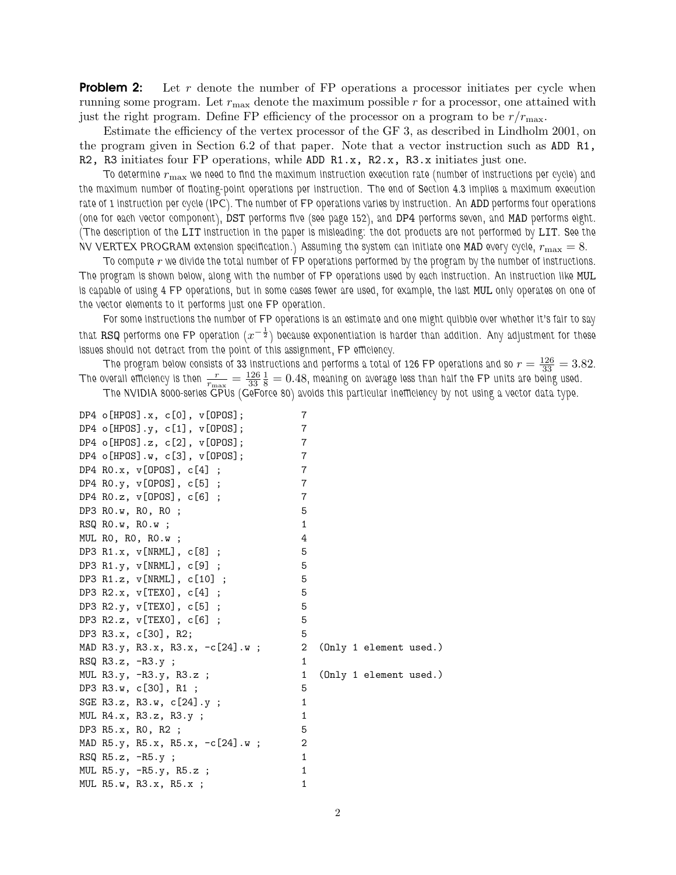**Problem 2:** Let r denote the number of FP operations a processor initiates per cycle when running some program. Let  $r_{\text{max}}$  denote the maximum possible r for a processor, one attained with just the right program. Define FP efficiency of the processor on a program to be  $r/r_{\text{max}}$ .

Estimate the efficiency of the vertex processor of the GF 3, as described in Lindholm 2001, on the program given in Section 6.2 of that paper. Note that a vector instruction such as ADD R1, R2, R3 initiates four FP operations, while ADD R1.x, R2.x, R3.x initiates just one.

To determine  $r_{\rm max}$  we need to find the maximum instruction execution rate (number of instructions per cycle) and the maximum number of floating-point operations per instruction. The end of Section 4.3 implies a maximum execution rate of 1 instruction per cycle (IPC). The number of FP operations varies by instruction. An ADD performs four operations (one for each vector component), DST performs five (see page 152), and DP4 performs seven, and MAD performs eight. (The description of the LIT instruction in the paper is misleading: the dot products are not performed by LIT. See the NV VERTEX PROGRAM extension specification.) Assuming the system can initiate one MAD every cycle,  $r_{\rm max} = 8$ .

To compute  $r$  we divide the total number of FP operations performed by the program by the number of instructions. The program is shown below, along with the number of FP operations used by each instruction. An instruction like MUL is capable of using 4 FP operations, but in some cases fewer are used, for example, the last MUL only operates on one of the vector elements to it performs just one FP operation.

For some instructions the number of FP operations is an estimate and one might quibble over whether it's fair to say that RSQ performs one FP operation  $(x^{-\frac{1}{2}})$  because exponentiation is harder than addition. Any adjustment for these issues should not detract from the point of this assignment, FP efficiency.

The program below consists of 33 instructions and performs a total of 126 FP operations and so  $r=\frac{126}{33}=3.82.$ The overall efficiency is then  $\frac{r}{r_{\rm max}} = \frac{126}{33}$ 33  $\frac{1}{8} = 0.48$ , meaning on average less than half the FP units are being used. The NVIDIA 8000-series GPUs (GeForce 80) avoids this particular inefficiency by not using a vector data type.

| DP4 $o[HPOS].x, c[0], v[OPOS];$     | 7 |                        |
|-------------------------------------|---|------------------------|
| DP4 o[HPOS].y, c[1], v[OPOS];       | 7 |                        |
| DP4 $o[HPOS].z, c[2], v[OPOS];$     | 7 |                        |
| DP4 o[HPOS].w, $c[3]$ , $v[OPOS]$ ; | 7 |                        |
| DP4 RO.x, $v[OPOS]$ , $c[4]$ ;      | 7 |                        |
| DP4 RO.y, $v[OPOS]$ , $c[5]$ ;      | 7 |                        |
| DP4 RO.z, $v[OPOS]$ , $c[6]$ ;      | 7 |                        |
| DP3 RO.w, RO, RO;                   | 5 |                        |
| $RSQ$ $RO.w$ , $RO.w$ ;             | 1 |                        |
| MUL $RO$ , $RO$ , $RO.w$ ;          | 4 |                        |
| DP3 R1.x, $v[NRML]$ , $c[8]$ ;      | 5 |                        |
| DP3 R1.y, $v[NRML]$ , $c[9]$ ;      | 5 |                        |
| DP3 R1.z, v[NRML], c[10] ;          | 5 |                        |
| DP3 R2.x, $v[TEX0]$ , $c[4]$ ;      | 5 |                        |
| DP3 R2.y, $v[TEX0]$ , $c[5]$ ;      | 5 |                        |
| DP3 R2.z, $v[TEX0]$ , $c[6]$ ;      | 5 |                        |
| DP3 R3.x, c[30], R2;                | 5 |                        |
| MAD R3.y, R3.x, R3.x, -c[24].w ;    | 2 | (Only 1 element used.) |
| RSQ $R3.z$ , $-R3.y$ ;              | 1 |                        |
| MUL R3.y, -R3.y, R3.z ;             | 1 | (Only 1 element used.) |
| DP3 R3.w, c[30], R1;                | 5 |                        |
| SGE R3.z, R3.w, $c[24]$ .y;         | 1 |                        |
| MUL $R4.x$ , $R3.z$ , $R3.y$ ;      | 1 |                        |
| DP3 R5.x, R0, R2 ;                  | 5 |                        |
| MAD R5.y, R5.x, R5.x, -c[24].w ;    | 2 |                        |
| RSQ $R5.z$ , $-R5.y$ ;              | 1 |                        |
| MUL $R5.y$ , $-R5.y$ , $R5.z$ ;     | 1 |                        |
| MUL R5.w, R3.x, R5.x;               | 1 |                        |